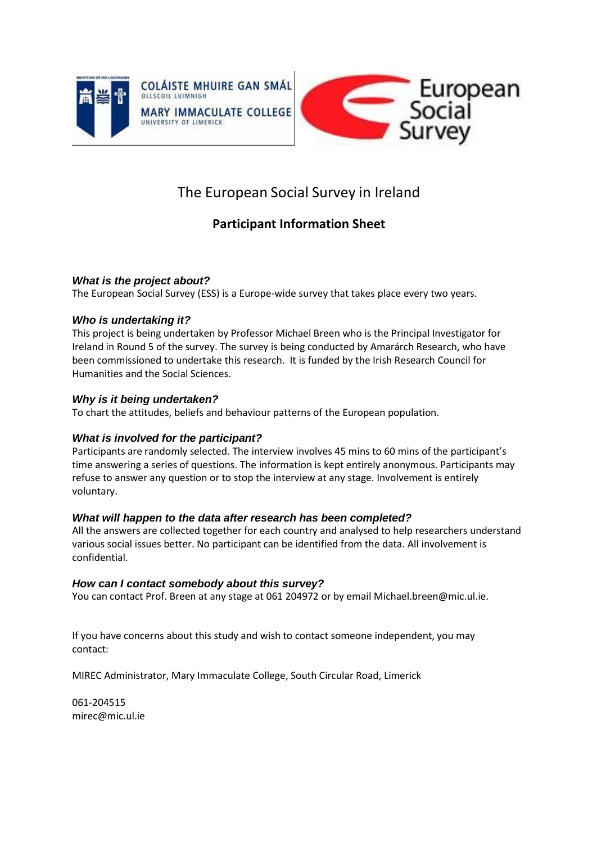



# The European Social Survey in Ireland

## **Participant Information Sheet**

#### *What is the project about?*

The European Social Survey (ESS) is a Europe-wide survey that takes place every two years.

#### *Who is undertaking it?*

This project is being undertaken by Professor Michael Breen who is the Principal Investigator for Ireland in Round 5 of the survey. The survey is being conducted by Amarárch Research, who have been commissioned to undertake this research. It is funded by the Irish Research Council for Humanities and the Social Sciences.

### *Why is it being undertaken?*

To chart the attitudes, beliefs and behaviour patterns of the European population.

### *What is involved for the participant?*

Participants are randomly selected. The interview involves 45 mins to 60 mins of the participant's time answering a series of questions. The information is kept entirely anonymous. Participants may refuse to answer any question or to stop the interview at any stage. Involvement is entirely voluntary.

#### *What will happen to the data after research has been completed?*

All the answers are collected together for each country and analysed to help researchers understand various social issues better. No participant can be identified from the data. All involvement is confidential.

#### *How can I contact somebody about this survey?*

You can contact Prof. Breen at any stage at 061 204972 or by email [Michael.breen@mic.ul.ie.](mailto:Michael.breen@mic.ul.ie)

If you have concerns about this study and wish to contact someone independent, you may contact:

MIREC Administrator, Mary Immaculate College, South Circular Road, Limerick

061-20451[5](mailto:mirec@mic.ul.ie) [mirec@mic.ul.ie](mailto:mirec@mic.ul.ie)